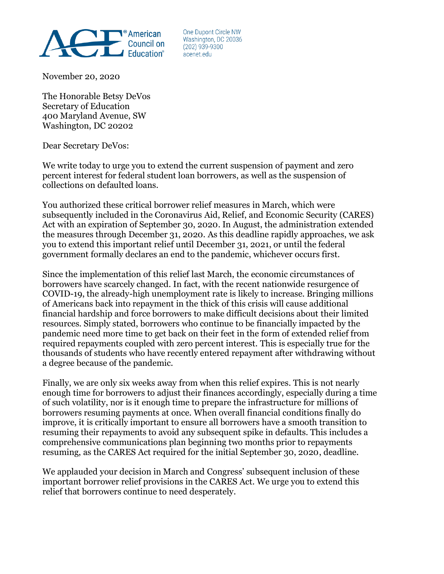

One Dupont Circle NW Washington, DC 20036  $(202)$  939-9300 acenet.edu

November 20, 2020

The Honorable Betsy DeVos Secretary of Education 400 Maryland Avenue, SW Washington, DC 20202

Dear Secretary DeVos:

We write today to urge you to extend the current suspension of payment and zero percent interest for federal student loan borrowers, as well as the suspension of collections on defaulted loans.

You authorized these critical borrower relief measures in March, which were subsequently included in the Coronavirus Aid, Relief, and Economic Security (CARES) Act with an expiration of September 30, 2020. In August, the administration extended the measures through December 31, 2020. As this deadline rapidly approaches, we ask you to extend this important relief until December 31, 2021, or until the federal government formally declares an end to the pandemic, whichever occurs first.

Since the implementation of this relief last March, the economic circumstances of borrowers have scarcely changed. In fact, with the recent nationwide resurgence of COVID-19, the already-high unemployment rate is likely to increase. Bringing millions of Americans back into repayment in the thick of this crisis will cause additional financial hardship and force borrowers to make difficult decisions about their limited resources. Simply stated, borrowers who continue to be financially impacted by the pandemic need more time to get back on their feet in the form of extended relief from required repayments coupled with zero percent interest. This is especially true for the thousands of students who have recently entered repayment after withdrawing without a degree because of the pandemic.

Finally, we are only six weeks away from when this relief expires. This is not nearly enough time for borrowers to adjust their finances accordingly, especially during a time of such volatility, nor is it enough time to prepare the infrastructure for millions of borrowers resuming payments at once. When overall financial conditions finally do improve, it is critically important to ensure all borrowers have a smooth transition to resuming their repayments to avoid any subsequent spike in defaults. This includes a comprehensive communications plan beginning two months prior to repayments resuming, as the CARES Act required for the initial September 30, 2020, deadline.

We applauded your decision in March and Congress' subsequent inclusion of these important borrower relief provisions in the CARES Act. We urge you to extend this relief that borrowers continue to need desperately.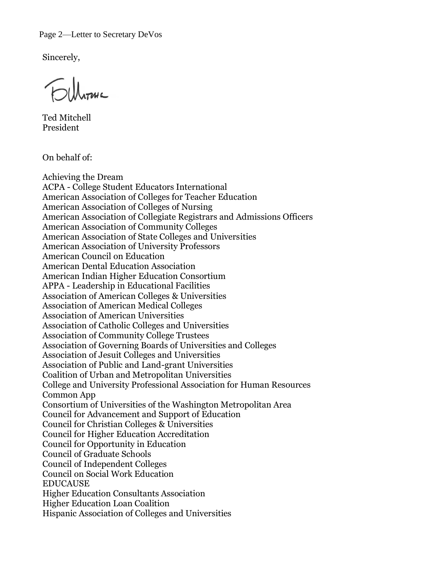Page 2—Letter to Secretary DeVos

Sincerely,

Ted Mitchell President

On behalf of:

Achieving the Dream ACPA - College Student Educators International American Association of Colleges for Teacher Education American Association of Colleges of Nursing American Association of Collegiate Registrars and Admissions Officers American Association of Community Colleges American Association of State Colleges and Universities American Association of University Professors American Council on Education American Dental Education Association American Indian Higher Education Consortium APPA - Leadership in Educational Facilities Association of American Colleges & Universities Association of American Medical Colleges Association of American Universities Association of Catholic Colleges and Universities Association of Community College Trustees Association of Governing Boards of Universities and Colleges Association of Jesuit Colleges and Universities Association of Public and Land-grant Universities Coalition of Urban and Metropolitan Universities College and University Professional Association for Human Resources Common App Consortium of Universities of the Washington Metropolitan Area Council for Advancement and Support of Education Council for Christian Colleges & Universities Council for Higher Education Accreditation Council for Opportunity in Education Council of Graduate Schools Council of Independent Colleges Council on Social Work Education **EDUCAUSE** Higher Education Consultants Association Higher Education Loan Coalition Hispanic Association of Colleges and Universities